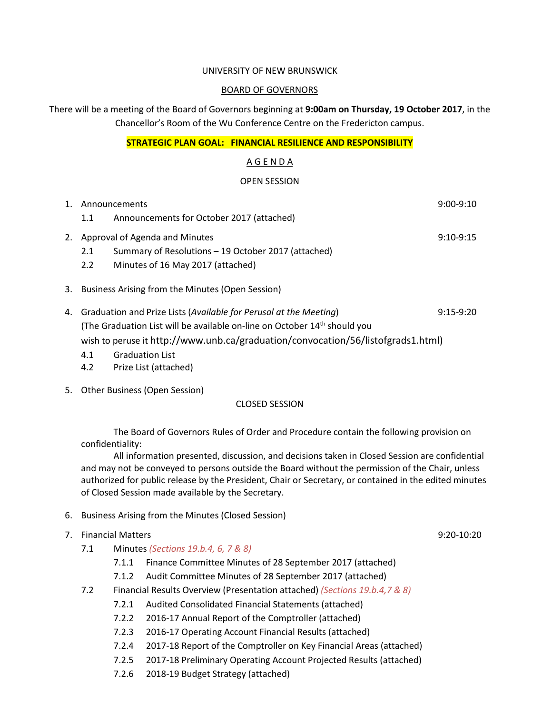#### UNIVERSITY OF NEW BRUNSWICK

#### BOARD OF GOVERNORS

There will be a meeting of the Board of Governors beginning at **9:00am on Thursday, 19 October 2017**, in the Chancellor's Room of the Wu Conference Centre on the Fredericton campus.

#### **STRATEGIC PLAN GOAL: FINANCIAL RESILIENCE AND RESPONSIBILITY**

#### A G E N D A

#### OPEN SESSION

| 1. Announcements                                    |                                                                                       |  |  |  |
|-----------------------------------------------------|---------------------------------------------------------------------------------------|--|--|--|
| 1.1                                                 | Announcements for October 2017 (attached)                                             |  |  |  |
| 2. Approval of Agenda and Minutes                   | $9:10-9:15$                                                                           |  |  |  |
| 2.1                                                 | Summary of Resolutions - 19 October 2017 (attached)                                   |  |  |  |
| $2.2^{\circ}$                                       | Minutes of 16 May 2017 (attached)                                                     |  |  |  |
| 3. Business Arising from the Minutes (Open Session) |                                                                                       |  |  |  |
|                                                     | 4. Graduation and Prize Lists (Available for Perusal at the Meeting)<br>$9:15-9:20$   |  |  |  |
|                                                     | (The Graduation List will be available on-line on October 14 <sup>th</sup> should you |  |  |  |

wish to peruse it http://www.unb.ca/graduation/convocation/56/listofgrads1.html)

- 4.1 Graduation List
- 4.2 Prize List (attached)
- 5. Other Business (Open Session)

#### CLOSED SESSION

The Board of Governors Rules of Order and Procedure contain the following provision on confidentiality:

All information presented, discussion, and decisions taken in Closed Session are confidential and may not be conveyed to persons outside the Board without the permission of the Chair, unless authorized for public release by the President, Chair or Secretary, or contained in the edited minutes of Closed Session made available by the Secretary.

- 6. Business Arising from the Minutes (Closed Session)
- 7. Financial Matters 9:20-10:20
	- 7.1 Minutes *(Sections 19.b.4, 6, 7 & 8)*
		- 7.1.1 Finance Committee Minutes of 28 September 2017 (attached)
		- 7.1.2 Audit Committee Minutes of 28 September 2017 (attached)
	- 7.2 Financial Results Overview (Presentation attached) *(Sections 19.b.4,7 & 8)*
		- 7.2.1 Audited Consolidated Financial Statements (attached)
		- 7.2.2 2016-17 Annual Report of the Comptroller (attached)
		- 7.2.3 2016-17 Operating Account Financial Results (attached)
		- 7.2.4 2017-18 Report of the Comptroller on Key Financial Areas (attached)
		- 7.2.5 2017-18 Preliminary Operating Account Projected Results (attached)
		- 7.2.6 2018-19 Budget Strategy (attached)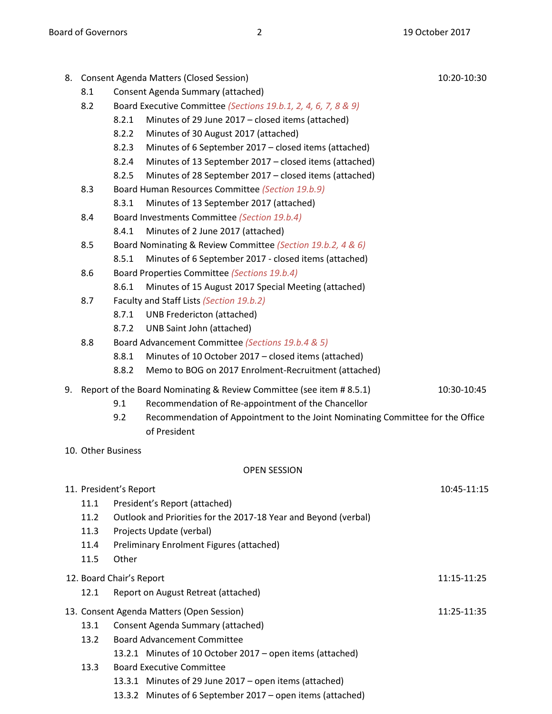|                                         | 8. Consent Agenda Matters (Closed Session)<br>10:20-10:30                          |                                                                |                                                                                |             |  |  |  |  |
|-----------------------------------------|------------------------------------------------------------------------------------|----------------------------------------------------------------|--------------------------------------------------------------------------------|-------------|--|--|--|--|
|                                         | Consent Agenda Summary (attached)<br>8.1                                           |                                                                |                                                                                |             |  |  |  |  |
|                                         | 8.2                                                                                | Board Executive Committee (Sections 19.b.1, 2, 4, 6, 7, 8 & 9) |                                                                                |             |  |  |  |  |
|                                         |                                                                                    | 8.2.1                                                          | Minutes of 29 June 2017 - closed items (attached)                              |             |  |  |  |  |
|                                         |                                                                                    | 8.2.2                                                          | Minutes of 30 August 2017 (attached)                                           |             |  |  |  |  |
|                                         |                                                                                    | 8.2.3                                                          | Minutes of 6 September 2017 – closed items (attached)                          |             |  |  |  |  |
|                                         |                                                                                    | 8.2.4                                                          | Minutes of 13 September 2017 – closed items (attached)                         |             |  |  |  |  |
|                                         |                                                                                    | 8.2.5                                                          | Minutes of 28 September 2017 - closed items (attached)                         |             |  |  |  |  |
|                                         | 8.3                                                                                |                                                                | Board Human Resources Committee (Section 19.b.9)                               |             |  |  |  |  |
|                                         |                                                                                    | 8.3.1                                                          | Minutes of 13 September 2017 (attached)                                        |             |  |  |  |  |
|                                         | 8.4                                                                                |                                                                | Board Investments Committee (Section 19.b.4)                                   |             |  |  |  |  |
|                                         |                                                                                    | 8.4.1                                                          | Minutes of 2 June 2017 (attached)                                              |             |  |  |  |  |
|                                         | 8.5                                                                                |                                                                | Board Nominating & Review Committee (Section 19.b.2, 4 & 6)                    |             |  |  |  |  |
|                                         |                                                                                    | 8.5.1                                                          | Minutes of 6 September 2017 - closed items (attached)                          |             |  |  |  |  |
|                                         | 8.6                                                                                |                                                                | Board Properties Committee (Sections 19.b.4)                                   |             |  |  |  |  |
|                                         |                                                                                    | 8.6.1                                                          | Minutes of 15 August 2017 Special Meeting (attached)                           |             |  |  |  |  |
|                                         | 8.7                                                                                |                                                                | Faculty and Staff Lists (Section 19.b.2)                                       |             |  |  |  |  |
|                                         |                                                                                    | 8.7.1                                                          | <b>UNB Fredericton (attached)</b>                                              |             |  |  |  |  |
|                                         |                                                                                    | 8.7.2                                                          | UNB Saint John (attached)                                                      |             |  |  |  |  |
|                                         | 8.8                                                                                |                                                                | Board Advancement Committee (Sections 19.b.4 & 5)                              |             |  |  |  |  |
|                                         |                                                                                    | 8.8.1                                                          | Minutes of 10 October 2017 - closed items (attached)                           |             |  |  |  |  |
|                                         |                                                                                    | 8.8.2                                                          | Memo to BOG on 2017 Enrolment-Recruitment (attached)                           |             |  |  |  |  |
| 9.                                      | Report of the Board Nominating & Review Committee (see item #8.5.1)<br>10:30-10:45 |                                                                |                                                                                |             |  |  |  |  |
|                                         |                                                                                    | 9.1                                                            | Recommendation of Re-appointment of the Chancellor                             |             |  |  |  |  |
|                                         |                                                                                    | 9.2                                                            | Recommendation of Appointment to the Joint Nominating Committee for the Office |             |  |  |  |  |
|                                         |                                                                                    |                                                                | of President                                                                   |             |  |  |  |  |
|                                         |                                                                                    | 10. Other Business                                             |                                                                                |             |  |  |  |  |
|                                         |                                                                                    |                                                                |                                                                                |             |  |  |  |  |
|                                         |                                                                                    |                                                                | <b>OPEN SESSION</b>                                                            |             |  |  |  |  |
|                                         |                                                                                    | 11. President's Report                                         |                                                                                | 10:45-11:15 |  |  |  |  |
|                                         | 11.1                                                                               |                                                                | President's Report (attached)                                                  |             |  |  |  |  |
|                                         | 11.2                                                                               |                                                                | Outlook and Priorities for the 2017-18 Year and Beyond (verbal)                |             |  |  |  |  |
|                                         | 11.3                                                                               |                                                                | Projects Update (verbal)                                                       |             |  |  |  |  |
|                                         | 11.4                                                                               |                                                                | Preliminary Enrolment Figures (attached)                                       |             |  |  |  |  |
|                                         | 11.5                                                                               | Other                                                          |                                                                                |             |  |  |  |  |
| 12. Board Chair's Report<br>11:15-11:25 |                                                                                    |                                                                |                                                                                |             |  |  |  |  |
|                                         | 12.1                                                                               |                                                                | Report on August Retreat (attached)                                            |             |  |  |  |  |
|                                         |                                                                                    |                                                                |                                                                                |             |  |  |  |  |
|                                         | 13. Consent Agenda Matters (Open Session)                                          |                                                                |                                                                                | 11:25-11:35 |  |  |  |  |
|                                         | 13.1                                                                               |                                                                | Consent Agenda Summary (attached)                                              |             |  |  |  |  |
|                                         | 13.2                                                                               |                                                                | <b>Board Advancement Committee</b>                                             |             |  |  |  |  |
|                                         |                                                                                    |                                                                | 13.2.1 Minutes of 10 October 2017 – open items (attached)                      |             |  |  |  |  |
|                                         | 13.3                                                                               |                                                                | <b>Board Executive Committee</b>                                               |             |  |  |  |  |
|                                         |                                                                                    |                                                                | 13.3.1 Minutes of 29 June 2017 - open items (attached)                         |             |  |  |  |  |

13.3.2 Minutes of 6 September 2017 – open items (attached)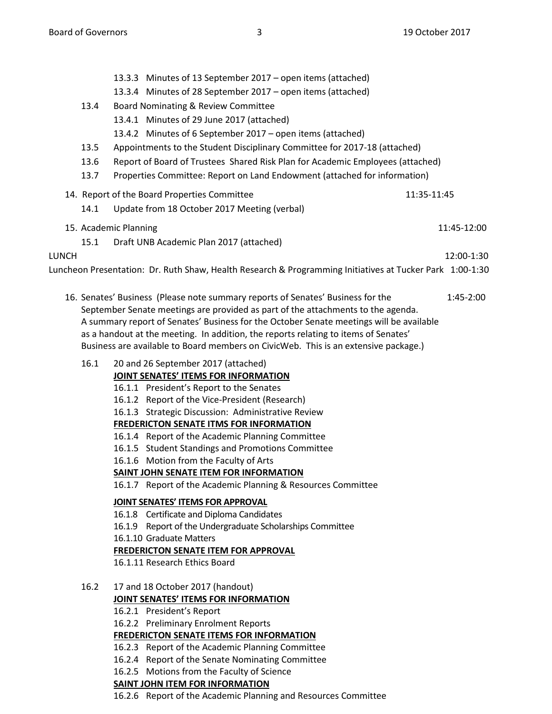- 13.3.3 Minutes of 13 September 2017 open items (attached) 13.3.4 Minutes of 28 September 2017 – open items (attached) 13.4 Board Nominating & Review Committee 13.4.1 Minutes of 29 June 2017 (attached) 13.4.2 Minutes of 6 September 2017 – open items (attached) 13.5 Appointments to the Student Disciplinary Committee for 2017-18 (attached) 13.6 Report of Board of Trustees Shared Risk Plan for Academic Employees (attached) 13.7 Properties Committee: Report on Land Endowment (attached for information) 14. Report of the Board Properties Committee 11:35-11:45 14.1 Update from 18 October 2017 Meeting (verbal) 15. Academic Planning 11:45-12:00 15.1 Draft UNB Academic Plan 2017 (attached) LUNCH 12:00-1:30 Luncheon Presentation: Dr. Ruth Shaw, Health Research & Programming Initiatives at Tucker Park 1:00-1:30
	- 16. Senates' Business (Please note summary reports of Senates' Business for the 1:45-2:00 September Senate meetings are provided as part of the attachments to the agenda. A summary report of Senates' Business for the October Senate meetings will be available as a handout at the meeting. In addition, the reports relating to items of Senates' Business are available to Board members on CivicWeb. This is an extensive package.)
		- 16.1 20 and 26 September 2017 (attached)

# **JOINT SENATES' ITEMS FOR INFORMATION**

## 16.1.1 President's Report to the Senates

- 16.1.2 Report of the Vice-President (Research)
- 16.1.3 Strategic Discussion: Administrative Review

## **FREDERICTON SENATE ITMS FOR INFORMATION**

- 16.1.4 Report of the Academic Planning Committee
- 16.1.5 Student Standings and Promotions Committee
- 16.1.6 Motion from the Faculty of Arts

## **SAINT JOHN SENATE ITEM FOR INFORMATION**

16.1.7 Report of the Academic Planning & Resources Committee

## **JOINT SENATES' ITEMS FOR APPROVAL**

- 16.1.8 Certificate and Diploma Candidates
- 16.1.9 Report of the Undergraduate Scholarships Committee
- 16.1.10 Graduate Matters

## **FREDERICTON SENATE ITEM FOR APPROVAL**

16.1.11 Research Ethics Board

- 16.2 17 and 18 October 2017 (handout) **JOINT SENATES' ITEMS FOR INFORMATION**
	- 16.2.1 President's Report
	- 16.2.2 Preliminary Enrolment Reports

## **FREDERICTON SENATE ITEMS FOR INFORMATION**

- 16.2.3 Report of the Academic Planning Committee
- 16.2.4 Report of the Senate Nominating Committee
- 16.2.5 Motions from the Faculty of Science

# **SAINT JOHN ITEM FOR INFORMATION**

16.2.6 Report of the Academic Planning and Resources Committee